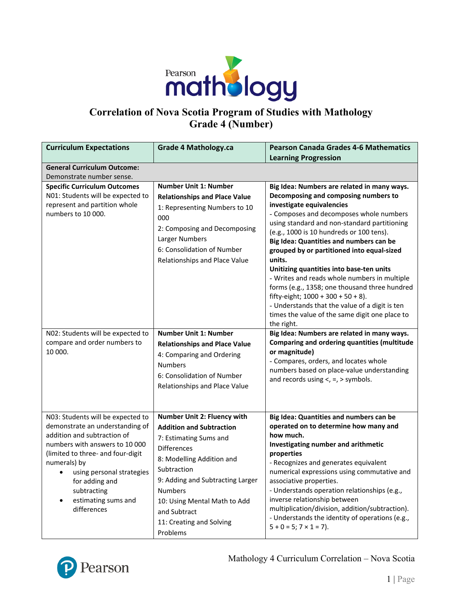

# **Correlation of Nova Scotia Program of Studies with Mathology Grade 4 (Number)**

| <b>Curriculum Expectations</b>                                                                                                                                                                                                                                                                 | <b>Grade 4 Mathology.ca</b>                                                                                                                                                                                                                                                                              | <b>Pearson Canada Grades 4-6 Mathematics</b>                                                                                                                                                                                                                                                                                                                                                                                                                                                                                                                                                                                                                       |
|------------------------------------------------------------------------------------------------------------------------------------------------------------------------------------------------------------------------------------------------------------------------------------------------|----------------------------------------------------------------------------------------------------------------------------------------------------------------------------------------------------------------------------------------------------------------------------------------------------------|--------------------------------------------------------------------------------------------------------------------------------------------------------------------------------------------------------------------------------------------------------------------------------------------------------------------------------------------------------------------------------------------------------------------------------------------------------------------------------------------------------------------------------------------------------------------------------------------------------------------------------------------------------------------|
| <b>General Curriculum Outcome:</b>                                                                                                                                                                                                                                                             |                                                                                                                                                                                                                                                                                                          | <b>Learning Progression</b>                                                                                                                                                                                                                                                                                                                                                                                                                                                                                                                                                                                                                                        |
| Demonstrate number sense.                                                                                                                                                                                                                                                                      |                                                                                                                                                                                                                                                                                                          |                                                                                                                                                                                                                                                                                                                                                                                                                                                                                                                                                                                                                                                                    |
| <b>Specific Curriculum Outcomes</b><br>N01: Students will be expected to<br>represent and partition whole<br>numbers to 10 000.                                                                                                                                                                | <b>Number Unit 1: Number</b><br><b>Relationships and Place Value</b><br>1: Representing Numbers to 10<br>000<br>2: Composing and Decomposing<br>Larger Numbers<br>6: Consolidation of Number<br>Relationships and Place Value                                                                            | Big Idea: Numbers are related in many ways.<br>Decomposing and composing numbers to<br>investigate equivalencies<br>- Composes and decomposes whole numbers<br>using standard and non-standard partitioning<br>(e.g., 1000 is 10 hundreds or 100 tens).<br>Big Idea: Quantities and numbers can be<br>grouped by or partitioned into equal-sized<br>units.<br>Unitizing quantities into base-ten units<br>- Writes and reads whole numbers in multiple<br>forms (e.g., 1358; one thousand three hundred<br>fifty-eight; $1000 + 300 + 50 + 8$ ).<br>- Understands that the value of a digit is ten<br>times the value of the same digit one place to<br>the right. |
| N02: Students will be expected to<br>compare and order numbers to<br>10 000.                                                                                                                                                                                                                   | <b>Number Unit 1: Number</b><br><b>Relationships and Place Value</b><br>4: Comparing and Ordering<br><b>Numbers</b><br>6: Consolidation of Number<br>Relationships and Place Value                                                                                                                       | Big Idea: Numbers are related in many ways.<br>Comparing and ordering quantities (multitude<br>or magnitude)<br>- Compares, orders, and locates whole<br>numbers based on place-value understanding<br>and records using $\lt$ , $=$ , $>$ symbols.                                                                                                                                                                                                                                                                                                                                                                                                                |
| N03: Students will be expected to<br>demonstrate an understanding of<br>addition and subtraction of<br>numbers with answers to 10 000<br>(limited to three- and four-digit<br>numerals) by<br>using personal strategies<br>for adding and<br>subtracting<br>estimating sums and<br>differences | Number Unit 2: Fluency with<br><b>Addition and Subtraction</b><br>7: Estimating Sums and<br><b>Differences</b><br>8: Modelling Addition and<br>Subtraction<br>9: Adding and Subtracting Larger<br><b>Numbers</b><br>10: Using Mental Math to Add<br>and Subtract<br>11: Creating and Solving<br>Problems | Big Idea: Quantities and numbers can be<br>operated on to determine how many and<br>how much.<br>Investigating number and arithmetic<br>properties<br>- Recognizes and generates equivalent<br>numerical expressions using commutative and<br>associative properties.<br>- Understands operation relationships (e.g.,<br>inverse relationship between<br>multiplication/division, addition/subtraction).<br>- Understands the identity of operations (e.g.,<br>$5 + 0 = 5$ ; $7 \times 1 = 7$ ).                                                                                                                                                                   |

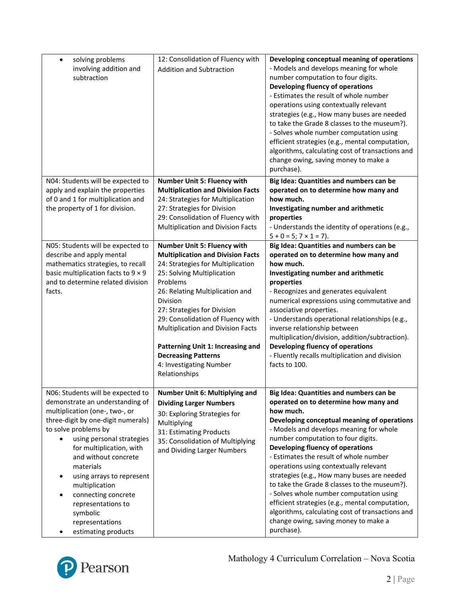| solving problems<br>$\bullet$<br>involving addition and<br>subtraction                                                                                                                                                                                                                                                                                                                                               | 12: Consolidation of Fluency with<br><b>Addition and Subtraction</b>                                                                                                                                                                                                                                                                                                                                                                 | Developing conceptual meaning of operations<br>- Models and develops meaning for whole<br>number computation to four digits.<br>Developing fluency of operations<br>- Estimates the result of whole number<br>operations using contextually relevant<br>strategies (e.g., How many buses are needed<br>to take the Grade 8 classes to the museum?).<br>- Solves whole number computation using<br>efficient strategies (e.g., mental computation,<br>algorithms, calculating cost of transactions and<br>change owing, saving money to make a<br>purchase).                                                                                                  |
|----------------------------------------------------------------------------------------------------------------------------------------------------------------------------------------------------------------------------------------------------------------------------------------------------------------------------------------------------------------------------------------------------------------------|--------------------------------------------------------------------------------------------------------------------------------------------------------------------------------------------------------------------------------------------------------------------------------------------------------------------------------------------------------------------------------------------------------------------------------------|--------------------------------------------------------------------------------------------------------------------------------------------------------------------------------------------------------------------------------------------------------------------------------------------------------------------------------------------------------------------------------------------------------------------------------------------------------------------------------------------------------------------------------------------------------------------------------------------------------------------------------------------------------------|
| N04: Students will be expected to<br>apply and explain the properties<br>of 0 and 1 for multiplication and<br>the property of 1 for division.                                                                                                                                                                                                                                                                        | <b>Number Unit 5: Fluency with</b><br><b>Multiplication and Division Facts</b><br>24: Strategies for Multiplication<br>27: Strategies for Division<br>29: Consolidation of Fluency with<br>Multiplication and Division Facts                                                                                                                                                                                                         | Big Idea: Quantities and numbers can be<br>operated on to determine how many and<br>how much.<br>Investigating number and arithmetic<br>properties<br>- Understands the identity of operations (e.g.,<br>$5 + 0 = 5$ ; $7 \times 1 = 7$ ).                                                                                                                                                                                                                                                                                                                                                                                                                   |
| N05: Students will be expected to<br>describe and apply mental<br>mathematics strategies, to recall<br>basic multiplication facts to $9 \times 9$<br>and to determine related division<br>facts.                                                                                                                                                                                                                     | <b>Number Unit 5: Fluency with</b><br><b>Multiplication and Division Facts</b><br>24: Strategies for Multiplication<br>25: Solving Multiplication<br>Problems<br>26: Relating Multiplication and<br>Division<br>27: Strategies for Division<br>29: Consolidation of Fluency with<br>Multiplication and Division Facts<br>Patterning Unit 1: Increasing and<br><b>Decreasing Patterns</b><br>4: Investigating Number<br>Relationships | Big Idea: Quantities and numbers can be<br>operated on to determine how many and<br>how much.<br>Investigating number and arithmetic<br>properties<br>- Recognizes and generates equivalent<br>numerical expressions using commutative and<br>associative properties.<br>- Understands operational relationships (e.g.,<br>inverse relationship between<br>multiplication/division, addition/subtraction).<br>Developing fluency of operations<br>- Fluently recalls multiplication and division<br>facts to 100.                                                                                                                                            |
| N06: Students will be expected to<br>demonstrate an understanding of<br>multiplication (one-, two-, or<br>three-digit by one-digit numerals)<br>to solve problems by<br>using personal strategies<br>for multiplication, with<br>and without concrete<br>materials<br>using arrays to represent<br>multiplication<br>connecting concrete<br>representations to<br>symbolic<br>representations<br>estimating products | Number Unit 6: Multiplying and<br><b>Dividing Larger Numbers</b><br>30: Exploring Strategies for<br>Multiplying<br>31: Estimating Products<br>35: Consolidation of Multiplying<br>and Dividing Larger Numbers                                                                                                                                                                                                                        | Big Idea: Quantities and numbers can be<br>operated on to determine how many and<br>how much.<br>Developing conceptual meaning of operations<br>- Models and develops meaning for whole<br>number computation to four digits.<br>Developing fluency of operations<br>- Estimates the result of whole number<br>operations using contextually relevant<br>strategies (e.g., How many buses are needed<br>to take the Grade 8 classes to the museum?).<br>- Solves whole number computation using<br>efficient strategies (e.g., mental computation,<br>algorithms, calculating cost of transactions and<br>change owing, saving money to make a<br>purchase). |

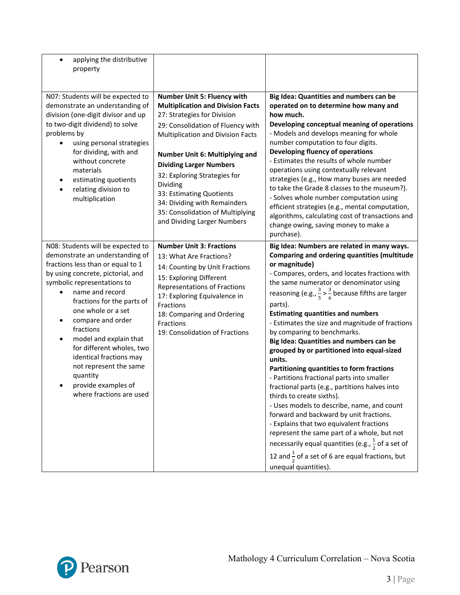| applying the distributive<br>$\bullet$<br>property                                                                                                                                                                                                                                                                                                                                                                                                                |                                                                                                                                                                                                                                                                                                                                                                                                                                        |                                                                                                                                                                                                                                                                                                                                                                                                                                                                                                                                                                                                                                                                                                                                                                                                                                                                                                                                                                                                                                                         |
|-------------------------------------------------------------------------------------------------------------------------------------------------------------------------------------------------------------------------------------------------------------------------------------------------------------------------------------------------------------------------------------------------------------------------------------------------------------------|----------------------------------------------------------------------------------------------------------------------------------------------------------------------------------------------------------------------------------------------------------------------------------------------------------------------------------------------------------------------------------------------------------------------------------------|---------------------------------------------------------------------------------------------------------------------------------------------------------------------------------------------------------------------------------------------------------------------------------------------------------------------------------------------------------------------------------------------------------------------------------------------------------------------------------------------------------------------------------------------------------------------------------------------------------------------------------------------------------------------------------------------------------------------------------------------------------------------------------------------------------------------------------------------------------------------------------------------------------------------------------------------------------------------------------------------------------------------------------------------------------|
| N07: Students will be expected to<br>demonstrate an understanding of<br>division (one-digit divisor and up<br>to two-digit dividend) to solve<br>problems by<br>using personal strategies<br>for dividing, with and<br>without concrete<br>materials<br>estimating quotients<br>relating division to<br>multiplication                                                                                                                                            | Number Unit 5: Fluency with<br><b>Multiplication and Division Facts</b><br>27: Strategies for Division<br>29: Consolidation of Fluency with<br><b>Multiplication and Division Facts</b><br>Number Unit 6: Multiplying and<br><b>Dividing Larger Numbers</b><br>32: Exploring Strategies for<br>Dividing<br>33: Estimating Quotients<br>34: Dividing with Remainders<br>35: Consolidation of Multiplying<br>and Dividing Larger Numbers | Big Idea: Quantities and numbers can be<br>operated on to determine how many and<br>how much.<br>Developing conceptual meaning of operations<br>- Models and develops meaning for whole<br>number computation to four digits.<br>Developing fluency of operations<br>- Estimates the results of whole number<br>operations using contextually relevant<br>strategies (e.g., How many buses are needed<br>to take the Grade 8 classes to the museum?).<br>- Solves whole number computation using<br>efficient strategies (e.g., mental computation,<br>algorithms, calculating cost of transactions and<br>change owing, saving money to make a<br>purchase).                                                                                                                                                                                                                                                                                                                                                                                           |
| N08: Students will be expected to<br>demonstrate an understanding of<br>fractions less than or equal to 1<br>by using concrete, pictorial, and<br>symbolic representations to<br>name and record<br>fractions for the parts of<br>one whole or a set<br>compare and order<br>fractions<br>model and explain that<br>for different wholes, two<br>identical fractions may<br>not represent the same<br>quantity<br>provide examples of<br>where fractions are used | <b>Number Unit 3: Fractions</b><br>13: What Are Fractions?<br>14: Counting by Unit Fractions<br>15: Exploring Different<br><b>Representations of Fractions</b><br>17: Exploring Equivalence in<br>Fractions<br>18: Comparing and Ordering<br>Fractions<br>19: Consolidation of Fractions                                                                                                                                               | Big Idea: Numbers are related in many ways.<br>Comparing and ordering quantities (multitude<br>or magnitude)<br>- Compares, orders, and locates fractions with<br>the same numerator or denominator using<br>reasoning (e.g., $\frac{3}{5}$ > $\frac{3}{6}$ because fifths are larger<br>parts).<br><b>Estimating quantities and numbers</b><br>- Estimates the size and magnitude of fractions<br>by comparing to benchmarks.<br>Big Idea: Quantities and numbers can be<br>grouped by or partitioned into equal-sized<br>units.<br>Partitioning quantities to form fractions<br>- Partitions fractional parts into smaller<br>fractional parts (e.g., partitions halves into<br>thirds to create sixths).<br>- Uses models to describe, name, and count<br>forward and backward by unit fractions.<br>- Explains that two equivalent fractions<br>represent the same part of a whole, but not<br>necessarily equal quantities (e.g., $\frac{1}{2}$ of a set of<br>12 and $\frac{1}{2}$ of a set of 6 are equal fractions, but<br>unequal quantities). |

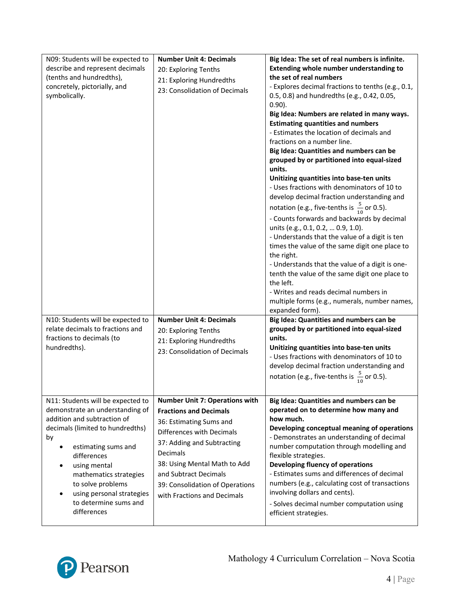| N09: Students will be expected to<br>describe and represent decimals<br>(tenths and hundredths),<br>concretely, pictorially, and<br>symbolically.                                                                                                                                                                       | <b>Number Unit 4: Decimals</b><br>20: Exploring Tenths<br>21: Exploring Hundredths<br>23: Consolidation of Decimals                                                                                                                                                                                 | Big Idea: The set of real numbers is infinite.<br>Extending whole number understanding to<br>the set of real numbers<br>- Explores decimal fractions to tenths (e.g., 0.1,<br>0.5, 0.8) and hundredths (e.g., 0.42, 0.05,<br>$0.90$ ).<br>Big Idea: Numbers are related in many ways.<br><b>Estimating quantities and numbers</b><br>- Estimates the location of decimals and<br>fractions on a number line.<br>Big Idea: Quantities and numbers can be<br>grouped by or partitioned into equal-sized<br>units.<br>Unitizing quantities into base-ten units<br>- Uses fractions with denominators of 10 to<br>develop decimal fraction understanding and<br>notation (e.g., five-tenths is $\frac{5}{10}$ or 0.5).<br>- Counts forwards and backwards by decimal<br>units (e.g., 0.1, 0.2,  0.9, 1.0).<br>- Understands that the value of a digit is ten<br>times the value of the same digit one place to<br>the right.<br>- Understands that the value of a digit is one-<br>tenth the value of the same digit one place to<br>the left.<br>- Writes and reads decimal numbers in<br>multiple forms (e.g., numerals, number names,<br>expanded form). |
|-------------------------------------------------------------------------------------------------------------------------------------------------------------------------------------------------------------------------------------------------------------------------------------------------------------------------|-----------------------------------------------------------------------------------------------------------------------------------------------------------------------------------------------------------------------------------------------------------------------------------------------------|---------------------------------------------------------------------------------------------------------------------------------------------------------------------------------------------------------------------------------------------------------------------------------------------------------------------------------------------------------------------------------------------------------------------------------------------------------------------------------------------------------------------------------------------------------------------------------------------------------------------------------------------------------------------------------------------------------------------------------------------------------------------------------------------------------------------------------------------------------------------------------------------------------------------------------------------------------------------------------------------------------------------------------------------------------------------------------------------------------------------------------------------------------|
| N10: Students will be expected to<br>relate decimals to fractions and<br>fractions to decimals (to<br>hundredths).                                                                                                                                                                                                      | <b>Number Unit 4: Decimals</b><br>20: Exploring Tenths<br>21: Exploring Hundredths<br>23: Consolidation of Decimals                                                                                                                                                                                 | Big Idea: Quantities and numbers can be<br>grouped by or partitioned into equal-sized<br>units.<br>Unitizing quantities into base-ten units<br>- Uses fractions with denominators of 10 to<br>develop decimal fraction understanding and<br>notation (e.g., five-tenths is $\frac{5}{10}$ or 0.5).                                                                                                                                                                                                                                                                                                                                                                                                                                                                                                                                                                                                                                                                                                                                                                                                                                                      |
| N11: Students will be expected to<br>demonstrate an understanding of<br>addition and subtraction of<br>decimals (limited to hundredths)<br>by<br>estimating sums and<br>differences<br>using mental<br>mathematics strategies<br>to solve problems<br>using personal strategies<br>to determine sums and<br>differences | <b>Number Unit 7: Operations with</b><br><b>Fractions and Decimals</b><br>36: Estimating Sums and<br>Differences with Decimals<br>37: Adding and Subtracting<br>Decimals<br>38: Using Mental Math to Add<br>and Subtract Decimals<br>39: Consolidation of Operations<br>with Fractions and Decimals | Big Idea: Quantities and numbers can be<br>operated on to determine how many and<br>how much.<br>Developing conceptual meaning of operations<br>- Demonstrates an understanding of decimal<br>number computation through modelling and<br>flexible strategies.<br>Developing fluency of operations<br>- Estimates sums and differences of decimal<br>numbers (e.g., calculating cost of transactions<br>involving dollars and cents).<br>- Solves decimal number computation using<br>efficient strategies.                                                                                                                                                                                                                                                                                                                                                                                                                                                                                                                                                                                                                                             |

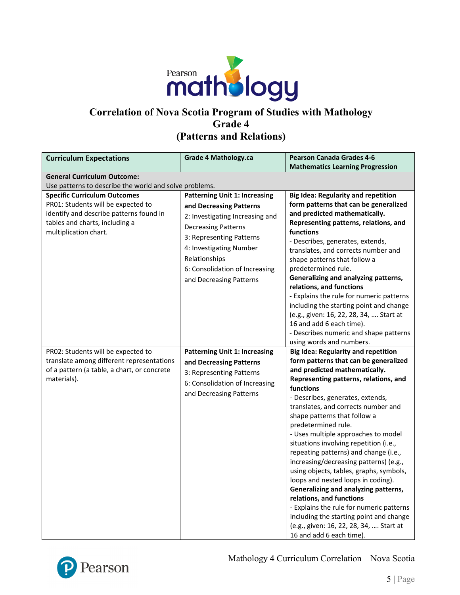

## **Correlation of Nova Scotia Program of Studies with Mathology Grade 4 (Patterns and Relations)**

| <b>Curriculum Expectations</b>                                                                                                                                                  | <b>Grade 4 Mathology.ca</b>                                                                                                                                                                                                                                           | <b>Pearson Canada Grades 4-6</b>                                                                                                                                                                                                                                                                                                                                                                                                                                                                                                                                                                                                                                                                                                                                                                                                |
|---------------------------------------------------------------------------------------------------------------------------------------------------------------------------------|-----------------------------------------------------------------------------------------------------------------------------------------------------------------------------------------------------------------------------------------------------------------------|---------------------------------------------------------------------------------------------------------------------------------------------------------------------------------------------------------------------------------------------------------------------------------------------------------------------------------------------------------------------------------------------------------------------------------------------------------------------------------------------------------------------------------------------------------------------------------------------------------------------------------------------------------------------------------------------------------------------------------------------------------------------------------------------------------------------------------|
|                                                                                                                                                                                 |                                                                                                                                                                                                                                                                       | <b>Mathematics Learning Progression</b>                                                                                                                                                                                                                                                                                                                                                                                                                                                                                                                                                                                                                                                                                                                                                                                         |
| <b>General Curriculum Outcome:</b>                                                                                                                                              |                                                                                                                                                                                                                                                                       |                                                                                                                                                                                                                                                                                                                                                                                                                                                                                                                                                                                                                                                                                                                                                                                                                                 |
| Use patterns to describe the world and solve problems.                                                                                                                          |                                                                                                                                                                                                                                                                       |                                                                                                                                                                                                                                                                                                                                                                                                                                                                                                                                                                                                                                                                                                                                                                                                                                 |
| <b>Specific Curriculum Outcomes</b><br>PR01: Students will be expected to<br>identify and describe patterns found in<br>tables and charts, including a<br>multiplication chart. | <b>Patterning Unit 1: Increasing</b><br>and Decreasing Patterns<br>2: Investigating Increasing and<br><b>Decreasing Patterns</b><br>3: Representing Patterns<br>4: Investigating Number<br>Relationships<br>6: Consolidation of Increasing<br>and Decreasing Patterns | <b>Big Idea: Regularity and repetition</b><br>form patterns that can be generalized<br>and predicted mathematically.<br>Representing patterns, relations, and<br><b>functions</b><br>- Describes, generates, extends,<br>translates, and corrects number and<br>shape patterns that follow a<br>predetermined rule.<br>Generalizing and analyzing patterns,<br>relations, and functions<br>- Explains the rule for numeric patterns<br>including the starting point and change<br>(e.g., given: 16, 22, 28, 34,  Start at<br>16 and add 6 each time).<br>- Describes numeric and shape patterns                                                                                                                                                                                                                                 |
| PR02: Students will be expected to<br>translate among different representations<br>of a pattern (a table, a chart, or concrete<br>materials).                                   | <b>Patterning Unit 1: Increasing</b><br>and Decreasing Patterns<br>3: Representing Patterns<br>6: Consolidation of Increasing<br>and Decreasing Patterns                                                                                                              | using words and numbers.<br><b>Big Idea: Regularity and repetition</b><br>form patterns that can be generalized<br>and predicted mathematically.<br>Representing patterns, relations, and<br>functions<br>- Describes, generates, extends,<br>translates, and corrects number and<br>shape patterns that follow a<br>predetermined rule.<br>- Uses multiple approaches to model<br>situations involving repetition (i.e.,<br>repeating patterns) and change (i.e.,<br>increasing/decreasing patterns) (e.g.,<br>using objects, tables, graphs, symbols,<br>loops and nested loops in coding).<br>Generalizing and analyzing patterns,<br>relations, and functions<br>- Explains the rule for numeric patterns<br>including the starting point and change<br>(e.g., given: 16, 22, 28, 34,  Start at<br>16 and add 6 each time). |

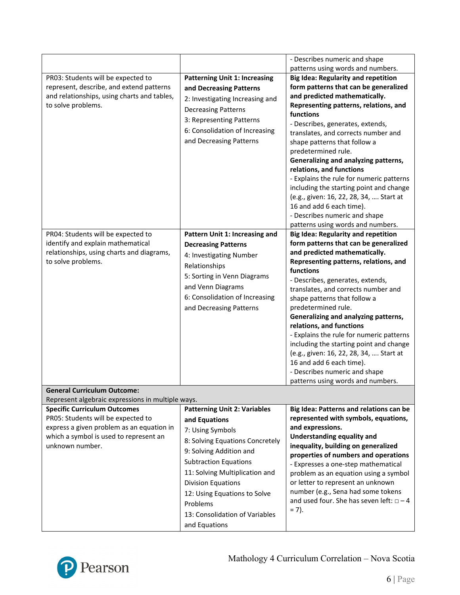|                                                                                         |                                      | - Describes numeric and shape<br>patterns using words and numbers. |
|-----------------------------------------------------------------------------------------|--------------------------------------|--------------------------------------------------------------------|
| PR03: Students will be expected to                                                      | <b>Patterning Unit 1: Increasing</b> | <b>Big Idea: Regularity and repetition</b>                         |
| represent, describe, and extend patterns                                                | and Decreasing Patterns              | form patterns that can be generalized                              |
| and relationships, using charts and tables,                                             | 2: Investigating Increasing and      | and predicted mathematically.                                      |
| to solve problems.                                                                      | <b>Decreasing Patterns</b>           | Representing patterns, relations, and                              |
|                                                                                         | 3: Representing Patterns             | functions                                                          |
|                                                                                         | 6: Consolidation of Increasing       | - Describes, generates, extends,                                   |
|                                                                                         | and Decreasing Patterns              | translates, and corrects number and                                |
|                                                                                         |                                      | shape patterns that follow a                                       |
|                                                                                         |                                      | predetermined rule.                                                |
|                                                                                         |                                      | Generalizing and analyzing patterns,<br>relations, and functions   |
|                                                                                         |                                      | - Explains the rule for numeric patterns                           |
|                                                                                         |                                      | including the starting point and change                            |
|                                                                                         |                                      | (e.g., given: 16, 22, 28, 34,  Start at                            |
|                                                                                         |                                      | 16 and add 6 each time).                                           |
|                                                                                         |                                      | - Describes numeric and shape                                      |
|                                                                                         |                                      | patterns using words and numbers.                                  |
| PR04: Students will be expected to                                                      | Pattern Unit 1: Increasing and       | <b>Big Idea: Regularity and repetition</b>                         |
| identify and explain mathematical                                                       | <b>Decreasing Patterns</b>           | form patterns that can be generalized                              |
| relationships, using charts and diagrams,                                               | 4: Investigating Number              | and predicted mathematically.                                      |
| to solve problems.                                                                      | Relationships                        | Representing patterns, relations, and                              |
|                                                                                         | 5: Sorting in Venn Diagrams          | functions                                                          |
|                                                                                         | and Venn Diagrams                    | - Describes, generates, extends,                                   |
|                                                                                         |                                      | translates, and corrects number and                                |
|                                                                                         | 6: Consolidation of Increasing       | shape patterns that follow a                                       |
|                                                                                         | and Decreasing Patterns              | predetermined rule.                                                |
|                                                                                         |                                      | Generalizing and analyzing patterns,<br>relations, and functions   |
|                                                                                         |                                      | - Explains the rule for numeric patterns                           |
|                                                                                         |                                      | including the starting point and change                            |
|                                                                                         |                                      | (e.g., given: 16, 22, 28, 34,  Start at                            |
|                                                                                         |                                      | 16 and add 6 each time).                                           |
|                                                                                         |                                      | - Describes numeric and shape                                      |
|                                                                                         |                                      | patterns using words and numbers.                                  |
| <b>General Curriculum Outcome:</b><br>Represent algebraic expressions in multiple ways. |                                      |                                                                    |
| <b>Specific Curriculum Outcomes</b>                                                     | <b>Patterning Unit 2: Variables</b>  | Big Idea: Patterns and relations can be                            |
| PR05: Students will be expected to                                                      | and Equations                        | represented with symbols, equations,                               |
| express a given problem as an equation in                                               |                                      | and expressions.                                                   |
| which a symbol is used to represent an                                                  | 7: Using Symbols                     | <b>Understanding equality and</b>                                  |
| unknown number.                                                                         | 8: Solving Equations Concretely      | inequality, building on generalized                                |
|                                                                                         | 9: Solving Addition and              | properties of numbers and operations                               |
|                                                                                         | <b>Subtraction Equations</b>         | - Expresses a one-step mathematical                                |
|                                                                                         | 11: Solving Multiplication and       | problem as an equation using a symbol                              |
|                                                                                         | <b>Division Equations</b>            | or letter to represent an unknown                                  |
|                                                                                         | 12: Using Equations to Solve         | number (e.g., Sena had some tokens                                 |
|                                                                                         | Problems                             | and used four. She has seven left: $\Box - 4$                      |
|                                                                                         | 13: Consolidation of Variables       | $= 7$ ).                                                           |
|                                                                                         | and Equations                        |                                                                    |

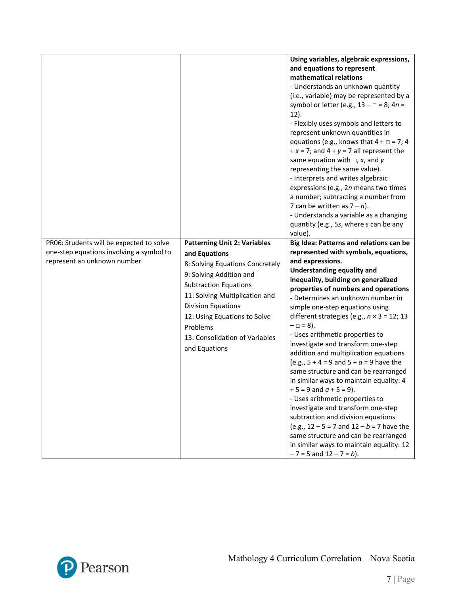|                                                                                                                      |                                                                                                                                                                                                                                                                                                                  | Using variables, algebraic expressions,<br>and equations to represent<br>mathematical relations<br>- Understands an unknown quantity<br>(i.e., variable) may be represented by a<br>symbol or letter (e.g., $13 - \square = 8$ ; $4n =$<br>$12$ ).<br>- Flexibly uses symbols and letters to<br>represent unknown quantities in<br>equations (e.g., knows that $4 + \square = 7$ ; 4<br>$+x = 7$ ; and $4 + y = 7$ all represent the<br>same equation with $\Box$ , x, and y<br>representing the same value).<br>- Interprets and writes algebraic<br>expressions (e.g., 2n means two times<br>a number; subtracting a number from<br>7 can be written as $7 - n$ ).<br>- Understands a variable as a changing<br>quantity (e.g., 5s, where s can be any<br>value).                                                                                                                                                                             |
|----------------------------------------------------------------------------------------------------------------------|------------------------------------------------------------------------------------------------------------------------------------------------------------------------------------------------------------------------------------------------------------------------------------------------------------------|-------------------------------------------------------------------------------------------------------------------------------------------------------------------------------------------------------------------------------------------------------------------------------------------------------------------------------------------------------------------------------------------------------------------------------------------------------------------------------------------------------------------------------------------------------------------------------------------------------------------------------------------------------------------------------------------------------------------------------------------------------------------------------------------------------------------------------------------------------------------------------------------------------------------------------------------------|
| PR06: Students will be expected to solve<br>one-step equations involving a symbol to<br>represent an unknown number. | <b>Patterning Unit 2: Variables</b><br>and Equations<br>8: Solving Equations Concretely<br>9: Solving Addition and<br><b>Subtraction Equations</b><br>11: Solving Multiplication and<br><b>Division Equations</b><br>12: Using Equations to Solve<br>Problems<br>13: Consolidation of Variables<br>and Equations | Big Idea: Patterns and relations can be<br>represented with symbols, equations,<br>and expressions.<br><b>Understanding equality and</b><br>inequality, building on generalized<br>properties of numbers and operations<br>- Determines an unknown number in<br>simple one-step equations using<br>different strategies (e.g., $n \times 3 = 12$ ; 13<br>$- \Box = 8$ ).<br>- Uses arithmetic properties to<br>investigate and transform one-step<br>addition and multiplication equations<br>(e.g., $5 + 4 = 9$ and $5 + a = 9$ have the<br>same structure and can be rearranged<br>in similar ways to maintain equality: 4<br>$+5 = 9$ and $a + 5 = 9$ ).<br>- Uses arithmetic properties to<br>investigate and transform one-step<br>subtraction and division equations<br>(e.g., $12 - 5 = 7$ and $12 - b = 7$ have the<br>same structure and can be rearranged<br>in similar ways to maintain equality: 12<br>$-7 = 5$ and $12 - 7 = b$ ). |

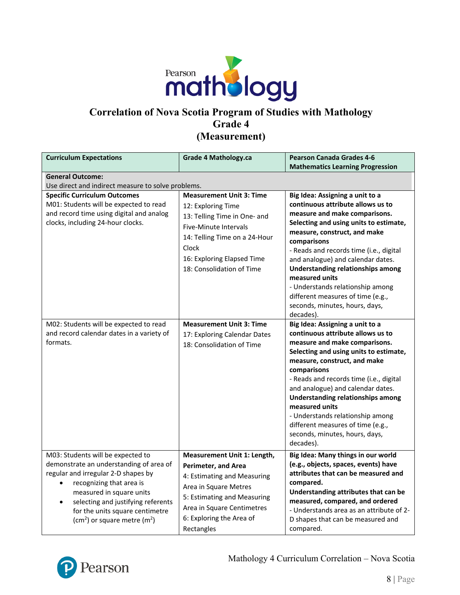

### **Correlation of Nova Scotia Program of Studies with Mathology Grade 4 (Measurement)**

| <b>Curriculum Expectations</b>                                                                                                                                                                                                                                                                                            | <b>Grade 4 Mathology.ca</b>                                                                                                                                                                                              | <b>Pearson Canada Grades 4-6</b><br><b>Mathematics Learning Progression</b>                                                                                                                                                                                                                                                                                                                                                                                          |
|---------------------------------------------------------------------------------------------------------------------------------------------------------------------------------------------------------------------------------------------------------------------------------------------------------------------------|--------------------------------------------------------------------------------------------------------------------------------------------------------------------------------------------------------------------------|----------------------------------------------------------------------------------------------------------------------------------------------------------------------------------------------------------------------------------------------------------------------------------------------------------------------------------------------------------------------------------------------------------------------------------------------------------------------|
| <b>General Outcome:</b>                                                                                                                                                                                                                                                                                                   |                                                                                                                                                                                                                          |                                                                                                                                                                                                                                                                                                                                                                                                                                                                      |
| Use direct and indirect measure to solve problems.                                                                                                                                                                                                                                                                        |                                                                                                                                                                                                                          |                                                                                                                                                                                                                                                                                                                                                                                                                                                                      |
| <b>Specific Curriculum Outcomes</b><br>M01: Students will be expected to read<br>and record time using digital and analog<br>clocks, including 24-hour clocks.                                                                                                                                                            | <b>Measurement Unit 3: Time</b><br>12: Exploring Time<br>13: Telling Time in One- and<br>Five-Minute Intervals<br>14: Telling Time on a 24-Hour<br>Clock<br>16: Exploring Elapsed Time<br>18: Consolidation of Time      | Big Idea: Assigning a unit to a<br>continuous attribute allows us to<br>measure and make comparisons.<br>Selecting and using units to estimate,<br>measure, construct, and make<br>comparisons<br>- Reads and records time (i.e., digital<br>and analogue) and calendar dates.<br><b>Understanding relationships among</b><br>measured units<br>- Understands relationship among<br>different measures of time (e.g.,<br>seconds, minutes, hours, days,<br>decades). |
| M02: Students will be expected to read<br>and record calendar dates in a variety of<br>formats.                                                                                                                                                                                                                           | <b>Measurement Unit 3: Time</b><br>17: Exploring Calendar Dates<br>18: Consolidation of Time                                                                                                                             | Big Idea: Assigning a unit to a<br>continuous attribute allows us to<br>measure and make comparisons.<br>Selecting and using units to estimate,<br>measure, construct, and make<br>comparisons<br>- Reads and records time (i.e., digital<br>and analogue) and calendar dates.<br>Understanding relationships among<br>measured units<br>- Understands relationship among<br>different measures of time (e.g.,<br>seconds, minutes, hours, days,<br>decades).        |
| M03: Students will be expected to<br>demonstrate an understanding of area of<br>regular and irregular 2-D shapes by<br>recognizing that area is<br>measured in square units<br>selecting and justifying referents<br>$\bullet$<br>for the units square centimetre<br>(cm <sup>2</sup> ) or square metre (m <sup>2</sup> ) | Measurement Unit 1: Length,<br><b>Perimeter, and Area</b><br>4: Estimating and Measuring<br>Area in Square Metres<br>5: Estimating and Measuring<br>Area in Square Centimetres<br>6: Exploring the Area of<br>Rectangles | Big Idea: Many things in our world<br>(e.g., objects, spaces, events) have<br>attributes that can be measured and<br>compared.<br>Understanding attributes that can be<br>measured, compared, and ordered<br>- Understands area as an attribute of 2-<br>D shapes that can be measured and<br>compared.                                                                                                                                                              |

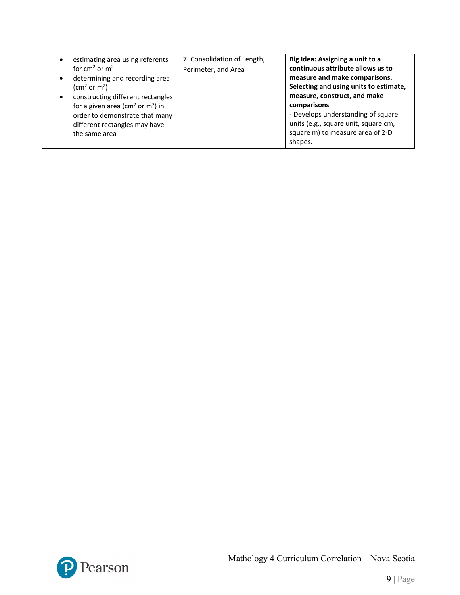| estimating area using referents<br>$\bullet$          | 7: Consolidation of Length, | Big Idea: Assigning a unit to a        |
|-------------------------------------------------------|-----------------------------|----------------------------------------|
| for $cm2$ or $m2$                                     | Perimeter, and Area         | continuous attribute allows us to      |
| determining and recording area<br>$\bullet$           |                             | measure and make comparisons.          |
| $\text{(cm}^2 \text{ or } \text{m}^2\text{)}$         |                             | Selecting and using units to estimate, |
| constructing different rectangles                     |                             | measure, construct, and make           |
| for a given area ( $\text{cm}^2$ or $\text{m}^2$ ) in |                             | comparisons                            |
| order to demonstrate that many                        |                             | - Develops understanding of square     |
| different rectangles may have                         |                             | units (e.g., square unit, square cm,   |
| the same area                                         |                             | square m) to measure area of 2-D       |
|                                                       |                             | shapes.                                |

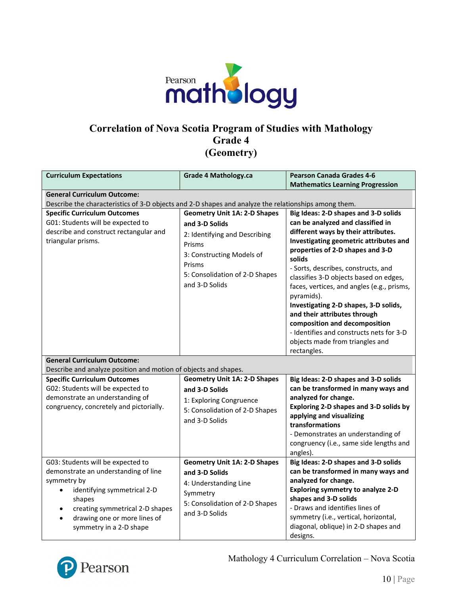

#### **Correlation of Nova Scotia Program of Studies with Mathology Grade 4 (Geometry)**

| <b>Curriculum Expectations</b>                                                                                                                                                                                                  | <b>Grade 4 Mathology.ca</b>                                                                                                                                                                 | <b>Pearson Canada Grades 4-6</b>                                                                                                                                                                                                                                                                                                                                                                                                                                                                                                                              |
|---------------------------------------------------------------------------------------------------------------------------------------------------------------------------------------------------------------------------------|---------------------------------------------------------------------------------------------------------------------------------------------------------------------------------------------|---------------------------------------------------------------------------------------------------------------------------------------------------------------------------------------------------------------------------------------------------------------------------------------------------------------------------------------------------------------------------------------------------------------------------------------------------------------------------------------------------------------------------------------------------------------|
| <b>General Curriculum Outcome:</b>                                                                                                                                                                                              |                                                                                                                                                                                             | <b>Mathematics Learning Progression</b>                                                                                                                                                                                                                                                                                                                                                                                                                                                                                                                       |
| Describe the characteristics of 3-D objects and 2-D shapes and analyze the relationships among them.                                                                                                                            |                                                                                                                                                                                             |                                                                                                                                                                                                                                                                                                                                                                                                                                                                                                                                                               |
| <b>Specific Curriculum Outcomes</b><br>G01: Students will be expected to<br>describe and construct rectangular and<br>triangular prisms.                                                                                        | <b>Geometry Unit 1A: 2-D Shapes</b><br>and 3-D Solids<br>2: Identifying and Describing<br>Prisms<br>3: Constructing Models of<br>Prisms<br>5: Consolidation of 2-D Shapes<br>and 3-D Solids | Big Ideas: 2-D shapes and 3-D solids<br>can be analyzed and classified in<br>different ways by their attributes.<br>Investigating geometric attributes and<br>properties of 2-D shapes and 3-D<br>solids<br>- Sorts, describes, constructs, and<br>classifies 3-D objects based on edges,<br>faces, vertices, and angles (e.g., prisms,<br>pyramids).<br>Investigating 2-D shapes, 3-D solids,<br>and their attributes through<br>composition and decomposition<br>- Identifies and constructs nets for 3-D<br>objects made from triangles and<br>rectangles. |
| <b>General Curriculum Outcome:</b>                                                                                                                                                                                              |                                                                                                                                                                                             |                                                                                                                                                                                                                                                                                                                                                                                                                                                                                                                                                               |
| Describe and analyze position and motion of objects and shapes.                                                                                                                                                                 |                                                                                                                                                                                             |                                                                                                                                                                                                                                                                                                                                                                                                                                                                                                                                                               |
| <b>Specific Curriculum Outcomes</b><br>G02: Students will be expected to<br>demonstrate an understanding of<br>congruency, concretely and pictorially.                                                                          | <b>Geometry Unit 1A: 2-D Shapes</b><br>and 3-D Solids<br>1: Exploring Congruence<br>5: Consolidation of 2-D Shapes<br>and 3-D Solids                                                        | Big Ideas: 2-D shapes and 3-D solids<br>can be transformed in many ways and<br>analyzed for change.<br>Exploring 2-D shapes and 3-D solids by<br>applying and visualizing<br>transformations<br>- Demonstrates an understanding of<br>congruency (i.e., same side lengths and<br>angles).                                                                                                                                                                                                                                                                     |
| G03: Students will be expected to<br>demonstrate an understanding of line<br>symmetry by<br>identifying symmetrical 2-D<br>shapes<br>creating symmetrical 2-D shapes<br>drawing one or more lines of<br>symmetry in a 2-D shape | <b>Geometry Unit 1A: 2-D Shapes</b><br>and 3-D Solids<br>4: Understanding Line<br>Symmetry<br>5: Consolidation of 2-D Shapes<br>and 3-D Solids                                              | Big Ideas: 2-D shapes and 3-D solids<br>can be transformed in many ways and<br>analyzed for change.<br><b>Exploring symmetry to analyze 2-D</b><br>shapes and 3-D solids<br>- Draws and identifies lines of<br>symmetry (i.e., vertical, horizontal,<br>diagonal, oblique) in 2-D shapes and<br>designs.                                                                                                                                                                                                                                                      |